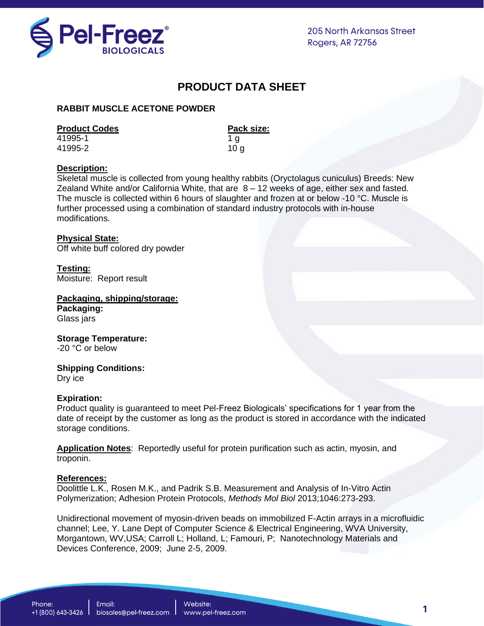

**205 North Arkansas Street** Rogers, AR 72756

# **PRODUCT DATA SHEET**

### **RABBIT MUSCLE ACETONE POWDER**

#### **Product Codes Product Codes Pack size:**

41995-1 1 g 41995-2 10 g

### **Description:**

Skeletal muscle is collected from young healthy rabbits (Oryctolagus cuniculus) Breeds: New Zealand White and/or California White, that are  $8 - 12$  weeks of age, either sex and fasted. The muscle is collected within 6 hours of slaughter and frozen at or below -10 °C. Muscle is further processed using a combination of standard industry protocols with in-house modifications.

#### **Physical State:**

Off white buff colored dry powder

### **Testing:**

Moisture: Report result

### **Packaging, shipping/storage:**

**Packaging:**

Glass jars

#### **Storage Temperature:** -20 °C or below

## **Shipping Conditions:**

Dry ice

### **Expiration:**

Product quality is guaranteed to meet Pel-Freez Biologicals' specifications for 1 year from the date of receipt by the customer as long as the product is stored in accordance with the indicated storage conditions.

**Application Notes**: Reportedly useful for protein purification such as actin, myosin, and troponin.

### **Ref***e***rences:**

Doolittle L.K., Rosen M.K., and Padrik S.B. Measurement and Analysis of In-Vitro Actin Polymerization; Adhesion Protein Protocols, *Methods Mol Biol* 2013;1046:273-293.

Unidirectional movement of myosin-driven beads on immobilized F-Actin arrays in a microfluidic channel; Lee, Y. Lane Dept of Computer Science & Electrical Engineering, WVA University, Morgantown, WV,USA; Carroll L; Holland, L; Famouri, P; Nanotechnology Materials and Devices Conference, 2009; June 2-5, 2009.